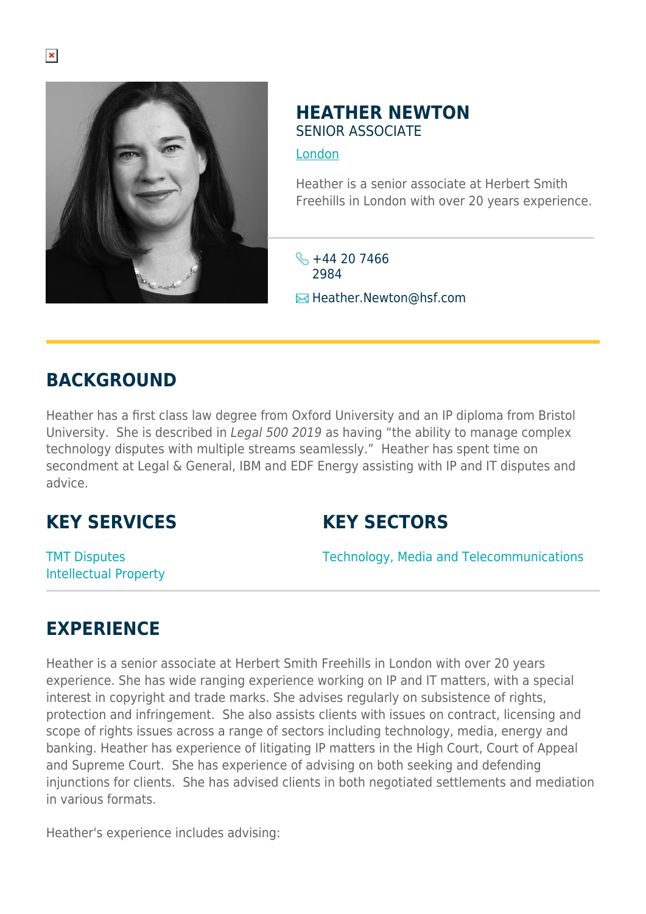

### **HEATHER NEWTON** SENIOR ASSOCIATE

[London](https://www.herbertsmithfreehills.com/where-we-work/london)

Heather is a senior associate at Herbert Smith Freehills in London with over 20 years experience.

 $\frac{1}{2}$  +44 20 7466 2984 **E**Heather.Newton@hsf.com

# **BACKGROUND**

Heather has a first class law degree from Oxford University and an IP diploma from Bristol University. She is described in Legal 500 2019 as having "the ability to manage complex technology disputes with multiple streams seamlessly." Heather has spent time on secondment at Legal & General, IBM and EDF Energy assisting with IP and IT disputes and advice.

## **KEY SERVICES**

## **KEY SECTORS**

TMT Disputes Intellectual Property Technology, Media and Telecommunications

## **EXPERIENCE**

Heather is a senior associate at Herbert Smith Freehills in London with over 20 years experience. She has wide ranging experience working on IP and IT matters, with a special interest in copyright and trade marks. She advises regularly on subsistence of rights, protection and infringement. She also assists clients with issues on contract, licensing and scope of rights issues across a range of sectors including technology, media, energy and banking. Heather has experience of litigating IP matters in the High Court, Court of Appeal and Supreme Court. She has experience of advising on both seeking and defending injunctions for clients. She has advised clients in both negotiated settlements and mediation in various formats.

Heather's experience includes advising: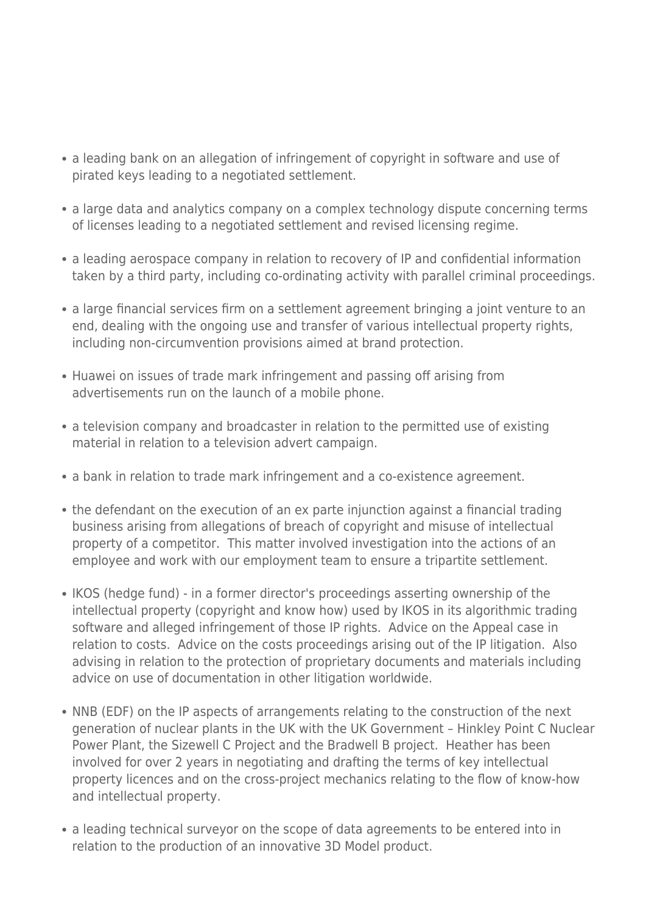- a leading bank on an allegation of infringement of copyright in software and use of pirated keys leading to a negotiated settlement.
- a large data and analytics company on a complex technology dispute concerning terms of licenses leading to a negotiated settlement and revised licensing regime.
- a leading aerospace company in relation to recovery of IP and confidential information taken by a third party, including co-ordinating activity with parallel criminal proceedings.
- a large financial services firm on a settlement agreement bringing a joint venture to an end, dealing with the ongoing use and transfer of various intellectual property rights, including non-circumvention provisions aimed at brand protection.
- Huawei on issues of trade mark infringement and passing off arising from advertisements run on the launch of a mobile phone.
- a television company and broadcaster in relation to the permitted use of existing material in relation to a television advert campaign.
- a bank in relation to trade mark infringement and a co-existence agreement.
- the defendant on the execution of an ex parte injunction against a financial trading business arising from allegations of breach of copyright and misuse of intellectual property of a competitor. This matter involved investigation into the actions of an employee and work with our employment team to ensure a tripartite settlement.
- IKOS (hedge fund) in a former director's proceedings asserting ownership of the intellectual property (copyright and know how) used by IKOS in its algorithmic trading software and alleged infringement of those IP rights. Advice on the Appeal case in relation to costs. Advice on the costs proceedings arising out of the IP litigation. Also advising in relation to the protection of proprietary documents and materials including advice on use of documentation in other litigation worldwide.
- NNB (EDF) on the IP aspects of arrangements relating to the construction of the next generation of nuclear plants in the UK with the UK Government – Hinkley Point C Nuclear Power Plant, the Sizewell C Project and the Bradwell B project. Heather has been involved for over 2 years in negotiating and drafting the terms of key intellectual property licences and on the cross-project mechanics relating to the flow of know-how and intellectual property.
- a leading technical surveyor on the scope of data agreements to be entered into in relation to the production of an innovative 3D Model product.